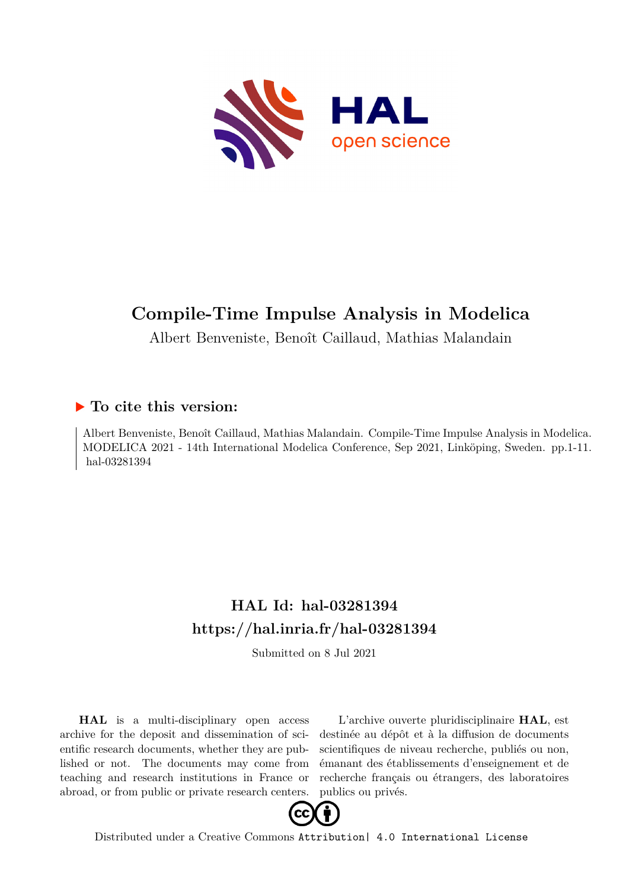

# **Compile-Time Impulse Analysis in Modelica**

Albert Benveniste, Benoît Caillaud, Mathias Malandain

# **To cite this version:**

Albert Benveniste, Benoît Caillaud, Mathias Malandain. Compile-Time Impulse Analysis in Modelica. MODELICA 2021 - 14th International Modelica Conference, Sep 2021, Linköping, Sweden. pp.1-11. hal-03281394

# **HAL Id: hal-03281394 <https://hal.inria.fr/hal-03281394>**

Submitted on 8 Jul 2021

**HAL** is a multi-disciplinary open access archive for the deposit and dissemination of scientific research documents, whether they are published or not. The documents may come from teaching and research institutions in France or abroad, or from public or private research centers.

L'archive ouverte pluridisciplinaire **HAL**, est destinée au dépôt et à la diffusion de documents scientifiques de niveau recherche, publiés ou non, émanant des établissements d'enseignement et de recherche français ou étrangers, des laboratoires publics ou privés.



Distributed under a Creative Commons [Attribution| 4.0 International License](http://creativecommons.org/licenses/by/4.0/)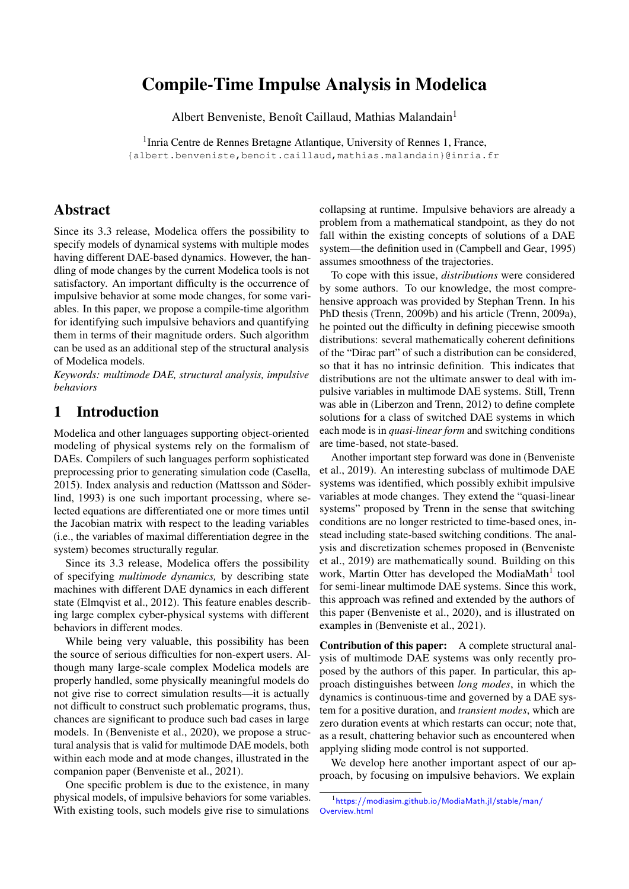# Compile-Time Impulse Analysis in Modelica

Albert Benveniste, Benoît Caillaud, Mathias Malandain<sup>1</sup>

<sup>1</sup> Inria Centre de Rennes Bretagne Atlantique, University of Rennes 1, France, {albert.benveniste,benoit.caillaud,mathias.malandain}@inria.fr

## Abstract

Since its 3.3 release, Modelica offers the possibility to specify models of dynamical systems with multiple modes having different DAE-based dynamics. However, the handling of mode changes by the current Modelica tools is not satisfactory. An important difficulty is the occurrence of impulsive behavior at some mode changes, for some variables. In this paper, we propose a compile-time algorithm for identifying such impulsive behaviors and quantifying them in terms of their magnitude orders. Such algorithm can be used as an additional step of the structural analysis of Modelica models.

*Keywords: multimode DAE, structural analysis, impulsive behaviors*

# 1 Introduction

Modelica and other languages supporting object-oriented modeling of physical systems rely on the formalism of DAEs. Compilers of such languages perform sophisticated preprocessing prior to generating simulation code (Casella, 2015). Index analysis and reduction (Mattsson and Söderlind, 1993) is one such important processing, where selected equations are differentiated one or more times until the Jacobian matrix with respect to the leading variables (i.e., the variables of maximal differentiation degree in the system) becomes structurally regular.

Since its 3.3 release, Modelica offers the possibility of specifying *multimode dynamics,* by describing state machines with different DAE dynamics in each different state (Elmqvist et al., 2012). This feature enables describing large complex cyber-physical systems with different behaviors in different modes.

While being very valuable, this possibility has been the source of serious difficulties for non-expert users. Although many large-scale complex Modelica models are properly handled, some physically meaningful models do not give rise to correct simulation results—it is actually not difficult to construct such problematic programs, thus, chances are significant to produce such bad cases in large models. In (Benveniste et al., 2020), we propose a structural analysis that is valid for multimode DAE models, both within each mode and at mode changes, illustrated in the companion paper (Benveniste et al., 2021).

One specific problem is due to the existence, in many physical models, of impulsive behaviors for some variables. With existing tools, such models give rise to simulations collapsing at runtime. Impulsive behaviors are already a problem from a mathematical standpoint, as they do not fall within the existing concepts of solutions of a DAE system—the definition used in (Campbell and Gear, 1995) assumes smoothness of the trajectories.

To cope with this issue, *distributions* were considered by some authors. To our knowledge, the most comprehensive approach was provided by Stephan Trenn. In his PhD thesis (Trenn, 2009b) and his article (Trenn, 2009a), he pointed out the difficulty in defining piecewise smooth distributions: several mathematically coherent definitions of the "Dirac part" of such a distribution can be considered, so that it has no intrinsic definition. This indicates that distributions are not the ultimate answer to deal with impulsive variables in multimode DAE systems. Still, Trenn was able in (Liberzon and Trenn, 2012) to define complete solutions for a class of switched DAE systems in which each mode is in *quasi-linear form* and switching conditions are time-based, not state-based.

Another important step forward was done in (Benveniste et al., 2019). An interesting subclass of multimode DAE systems was identified, which possibly exhibit impulsive variables at mode changes. They extend the "quasi-linear systems" proposed by Trenn in the sense that switching conditions are no longer restricted to time-based ones, instead including state-based switching conditions. The analysis and discretization schemes proposed in (Benveniste et al., 2019) are mathematically sound. Building on this work, Martin Otter has developed the ModiaMath<sup>1</sup> tool for semi-linear multimode DAE systems. Since this work, this approach was refined and extended by the authors of this paper (Benveniste et al., 2020), and is illustrated on examples in (Benveniste et al., 2021).

Contribution of this paper: A complete structural analysis of multimode DAE systems was only recently proposed by the authors of this paper. In particular, this approach distinguishes between *long modes*, in which the dynamics is continuous-time and governed by a DAE system for a positive duration, and *transient modes*, which are zero duration events at which restarts can occur; note that, as a result, chattering behavior such as encountered when applying sliding mode control is not supported.

We develop here another important aspect of our approach, by focusing on impulsive behaviors. We explain

<sup>1</sup>[https://modiasim.github.io/ModiaMath.jl/stable/man/](https://modiasim.github.io/ModiaMath.jl/stable/man/Overview.html) [Overview.html](https://modiasim.github.io/ModiaMath.jl/stable/man/Overview.html)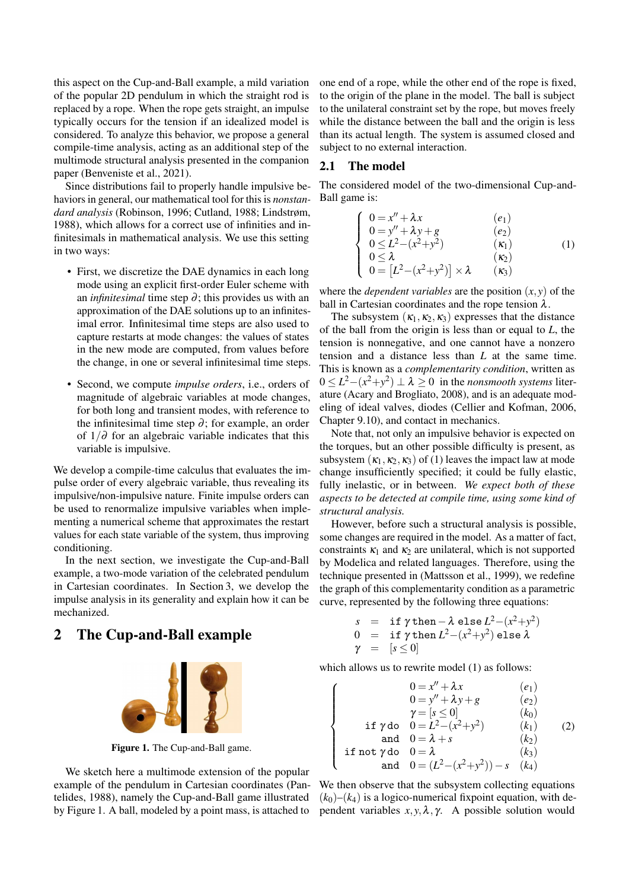this aspect on the Cup-and-Ball example, a mild variation of the popular 2D pendulum in which the straight rod is replaced by a rope. When the rope gets straight, an impulse typically occurs for the tension if an idealized model is considered. To analyze this behavior, we propose a general compile-time analysis, acting as an additional step of the multimode structural analysis presented in the companion paper (Benveniste et al., 2021).

Since distributions fail to properly handle impulsive behaviors in general, our mathematical tool for this is *nonstandard analysis* (Robinson, 1996; Cutland, 1988; Lindstrøm, 1988), which allows for a correct use of infinities and infinitesimals in mathematical analysis. We use this setting in two ways:

- First, we discretize the DAE dynamics in each long mode using an explicit first-order Euler scheme with an *infinitesimal* time step ∂; this provides us with an approximation of the DAE solutions up to an infinitesimal error. Infinitesimal time steps are also used to capture restarts at mode changes: the values of states in the new mode are computed, from values before the change, in one or several infinitesimal time steps.
- Second, we compute *impulse orders*, i.e., orders of magnitude of algebraic variables at mode changes, for both long and transient modes, with reference to the infinitesimal time step  $\partial$ ; for example, an order of 1/∂ for an algebraic variable indicates that this variable is impulsive.

We develop a compile-time calculus that evaluates the impulse order of every algebraic variable, thus revealing its impulsive/non-impulsive nature. Finite impulse orders can be used to renormalize impulsive variables when implementing a numerical scheme that approximates the restart values for each state variable of the system, thus improving conditioning.

In the next section, we investigate the Cup-and-Ball example, a two-mode variation of the celebrated pendulum in Cartesian coordinates. In Section 3, we develop the impulse analysis in its generality and explain how it can be mechanized.

# 2 The Cup-and-Ball example



Figure 1. The Cup-and-Ball game.

We sketch here a multimode extension of the popular example of the pendulum in Cartesian coordinates (Pantelides, 1988), namely the Cup-and-Ball game illustrated by Figure 1. A ball, modeled by a point mass, is attached to one end of a rope, while the other end of the rope is fixed, to the origin of the plane in the model. The ball is subject to the unilateral constraint set by the rope, but moves freely while the distance between the ball and the origin is less than its actual length. The system is assumed closed and subject to no external interaction.

### 2.1 The model

The considered model of the two-dimensional Cup-and-Ball game is:

$$
\begin{cases}\n0 = x'' + \lambda x & (e_1) \\
0 = y'' + \lambda y + g & (e_2) \\
0 \le L^2 - (x^2 + y^2) & (k_1) \\
0 \le \lambda & (k_2) \\
0 = [L^2 - (x^2 + y^2)] \times \lambda & (k_3)\n\end{cases}
$$
\n(1)

where the *dependent variables* are the position  $(x, y)$  of the ball in Cartesian coordinates and the rope tension  $\lambda$ .

The subsystem  $(\kappa_1, \kappa_2, \kappa_3)$  expresses that the distance of the ball from the origin is less than or equal to *L*, the tension is nonnegative, and one cannot have a nonzero tension and a distance less than *L* at the same time. This is known as a *complementarity condition*, written as  $0 \le L^2 - (x^2 + y^2) \perp \lambda \ge 0$  in the *nonsmooth systems* literature (Acary and Brogliato, 2008), and is an adequate modeling of ideal valves, diodes (Cellier and Kofman, 2006, Chapter 9.10), and contact in mechanics.

Note that, not only an impulsive behavior is expected on the torques, but an other possible difficulty is present, as subsystem  $(\kappa_1, \kappa_2, \kappa_3)$  of (1) leaves the impact law at mode change insufficiently specified; it could be fully elastic, fully inelastic, or in between. *We expect both of these aspects to be detected at compile time, using some kind of structural analysis.*

However, before such a structural analysis is possible, some changes are required in the model. As a matter of fact, constraints  $\kappa_1$  and  $\kappa_2$  are unilateral, which is not supported by Modelica and related languages. Therefore, using the technique presented in (Mattsson et al., 1999), we redefine the graph of this complementarity condition as a parametric curve, represented by the following three equations:

$$
s = \text{if } \gamma \text{ then } -\lambda \text{ else } L^2 - (x^2 + y^2)
$$
  
\n
$$
0 = \text{if } \gamma \text{ then } L^2 - (x^2 + y^2) \text{ else } \lambda
$$
  
\n
$$
\gamma = [s \le 0]
$$

which allows us to rewrite model (1) as follows:

 $\sqrt{ }$ 

 $\begin{matrix} \end{matrix}$ 

 $\begin{array}{c} \end{array}$ 

$$
0 = x'' + \lambda x \qquad (e_1)
$$
  
\n
$$
0 = y'' + \lambda y + g \qquad (e_2)
$$
  
\n
$$
\gamma = [s \le 0] \qquad (k_0)
$$
  
\nif  $\gamma$  do  $0 = L^2 - (x^2 + y^2) \qquad (k_1)$   
\nand  $0 = \lambda + s \qquad (k_2)$   
\nif not  $\gamma$  do  $0 = \lambda$   
\nand  $0 = (L^2 - (x^2 + y^2)) - s \qquad (k_4)$ 

We then observe that the subsystem collecting equations  $(k_0)$ – $(k_4)$  is a logico-numerical fixpoint equation, with dependent variables  $x, y, \lambda, \gamma$ . A possible solution would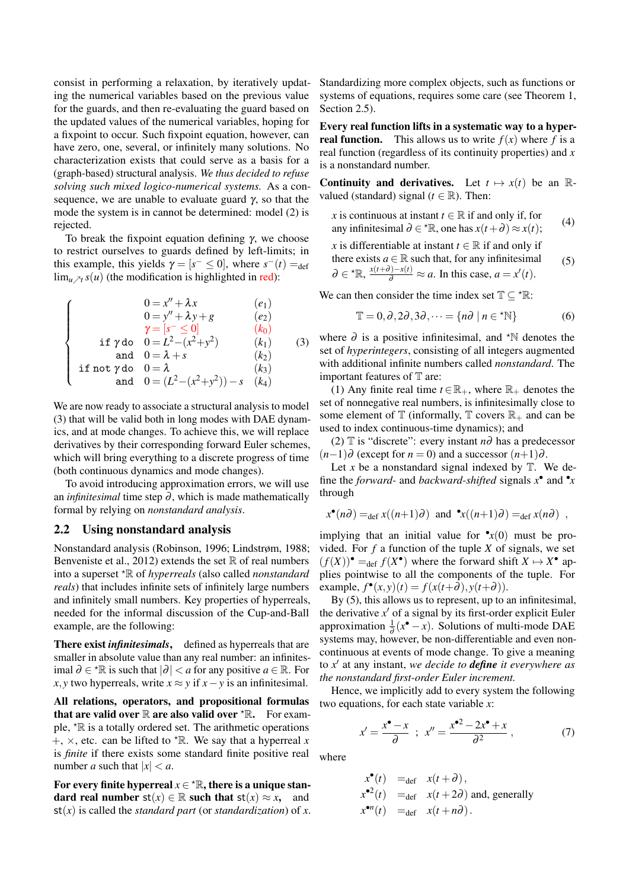consist in performing a relaxation, by iteratively updating the numerical variables based on the previous value for the guards, and then re-evaluating the guard based on the updated values of the numerical variables, hoping for a fixpoint to occur. Such fixpoint equation, however, can have zero, one, several, or infinitely many solutions. No characterization exists that could serve as a basis for a (graph-based) structural analysis. *We thus decided to refuse solving such mixed logico-numerical systems.* As a consequence, we are unable to evaluate guard  $\gamma$ , so that the mode the system is in cannot be determined: model (2) is rejected.

To break the fixpoint equation defining γ, we choose to restrict ourselves to guards defined by left-limits; in this example, this yields  $\gamma = [s^- \le 0]$ , where  $s^-(t) =_{\text{def}}$  $\lim_{u \nearrow t} s(u)$  (the modification is highlighted in red):

$$
\begin{cases}\n0 = x'' + \lambda x & (e_1) \\
0 = y'' + \lambda y + g & (e_2) \\
\gamma = [s^- \le 0] & (k_0) \\
\text{if } \gamma \text{ do } 0 = L^2 - (x^2 + y^2) & (k_1) \\
\text{and } 0 = \lambda + s & (k_2) \\
\text{if not } \gamma \text{ do } 0 = \lambda & (k_3) \\
\text{and } 0 = (L^2 - (x^2 + y^2)) - s & (k_4)\n\end{cases}
$$

We are now ready to associate a structural analysis to model (3) that will be valid both in long modes with DAE dynamics, and at mode changes. To achieve this, we will replace derivatives by their corresponding forward Euler schemes, which will bring everything to a discrete progress of time (both continuous dynamics and mode changes).

To avoid introducing approximation errors, we will use an *infinitesimal* time step  $\partial$ , which is made mathematically formal by relying on *nonstandard analysis*.

#### 2.2 Using nonstandard analysis

Nonstandard analysis (Robinson, 1996; Lindstrøm, 1988; Benveniste et al., 2012) extends the set  $\mathbb R$  of real numbers into a superset ?R of *hyperreals* (also called *nonstandard reals*) that includes infinite sets of infinitely large numbers and infinitely small numbers. Key properties of hyperreals, needed for the informal discussion of the Cup-and-Ball example, are the following:

There exist *infinitesimals*, defined as hyperreals that are smaller in absolute value than any real number: an infinitesimal  $\partial \in \mathcal{R}$  is such that  $|\partial| < a$  for any positive *a* ∈ ℝ. For *x*, *y* two hyperreals, write  $x \approx y$  if  $x - y$  is an infinitesimal.

All relations, operators, and propositional formulas that are valid over  $\mathbb R$  are also valid over  ${}^{\star}\mathbb R$ . For example,  $*$ R is a totally ordered set. The arithmetic operations  $+$ ,  $\times$ , etc. can be lifted to  $*$ R. We say that a hyperreal *x* is *finite* if there exists some standard finite positive real number *a* such that  $|x| < a$ .

For every finite hyperreal  $x \in \text{A}^*$ , there is a unique standard real number  $st(x) \in \mathbb{R}$  such that  $st(x) \approx x$ , and  $st(x)$  is called the *standard part* (or *standardization*) of *x*. Standardizing more complex objects, such as functions or systems of equations, requires some care (see Theorem 1, Section 2.5).

Every real function lifts in a systematic way to a hyper**real function.** This allows us to write  $f(x)$  where f is a real function (regardless of its continuity properties) and *x* is a nonstandard number.

**Continuity and derivatives.** Let  $t \mapsto x(t)$  be an Rvalued (standard) signal ( $t \in \mathbb{R}$ ). Then:

*x* is continuous at instant 
$$
t \in \mathbb{R}
$$
 if and only if, for  
any infinitesimal  $\partial \in {}^{\star} \mathbb{R}$ , one has  $x(t + \partial) \approx x(t)$ ; (4)

*x* is differentiable at instant  $t \in \mathbb{R}$  if and only if there exists  $a \in \mathbb{R}$  such that, for any infinitesimal  $\partial \in {^{\star}\mathbb{R}}$ ,  $\frac{x(t+\partial)-x(t)}{\partial} \approx a$ . In this case,  $a = x'(t)$ . (5)

We can then consider the time index set  $\mathbb{T} \subset \text{R}:$ 

$$
\mathbb{T} = 0, \partial, 2\partial, 3\partial, \dots = \{n\partial \mid n \in {}^{\star}\mathbb{N}\}
$$
 (6)

where  $\partial$  is a positive infinitesimal, and  $*$ N denotes the set of *hyperintegers*, consisting of all integers augmented with additional infinite numbers called *nonstandard*. The important features of T are:

(1) Any finite real time  $t \in \mathbb{R}_+$ , where  $\mathbb{R}_+$  denotes the set of nonnegative real numbers, is infinitesimally close to some element of  $\mathbb T$  (informally,  $\mathbb T$  covers  $\mathbb R_+$  and can be used to index continuous-time dynamics); and

(2) T is "discrete": every instant *n*∂ has a predecessor  $(n-1)$ ∂ (except for *n* = 0) and a successor  $(n+1)$ ∂.

Let  $x$  be a nonstandard signal indexed by  $T$ . We define the *forward*- and *backward-shifted* signals  $x^{\bullet}$  and  $\overline{\ }$ *x* through

$$
x^{\bullet}(n\partial) =_{\text{def}} x((n+1)\partial)
$$
 and  $\mathbf{r}_x((n+1)\partial) =_{\text{def}} x(n\partial)$ ,

implying that an initial value for  $\mathbf{r}(0)$  must be provided. For  $f$  a function of the tuple  $X$  of signals, we set  $(f(X))^{\bullet} =_{def} f(X^{\bullet})$  where the forward shift  $X \mapsto X^{\bullet}$  applies pointwise to all the components of the tuple. For  $\text{example, } f^{\bullet}(x, y)(t) = f(x(t+\partial), y(t+\partial)).$ 

By (5), this allows us to represent, up to an infinitesimal, the derivative  $x'$  of a signal by its first-order explicit Euler approximation  $\frac{1}{\partial}(x^{\bullet} - x)$ . Solutions of multi-mode DAE systems may, however, be non-differentiable and even noncontinuous at events of mode change. To give a meaning to *x'* at any instant, *we decide to define it everywhere as the nonstandard first-order Euler increment.*

Hence, we implicitly add to every system the following two equations, for each state variable *x*:

$$
x' = \frac{x^{\bullet} - x}{\partial} \; ; \; x'' = \frac{x^{\bullet 2} - 2x^{\bullet} + x}{\partial^2} \,, \tag{7}
$$

where

$$
x^{\bullet}(t) =_{\text{def}} x(t+\partial),
$$
  
\n
$$
x^{\bullet 2}(t) =_{\text{def}} x(t+2\partial) \text{ and, generally}
$$
  
\n
$$
x^{\bullet n}(t) =_{\text{def}} x(t+n\partial).
$$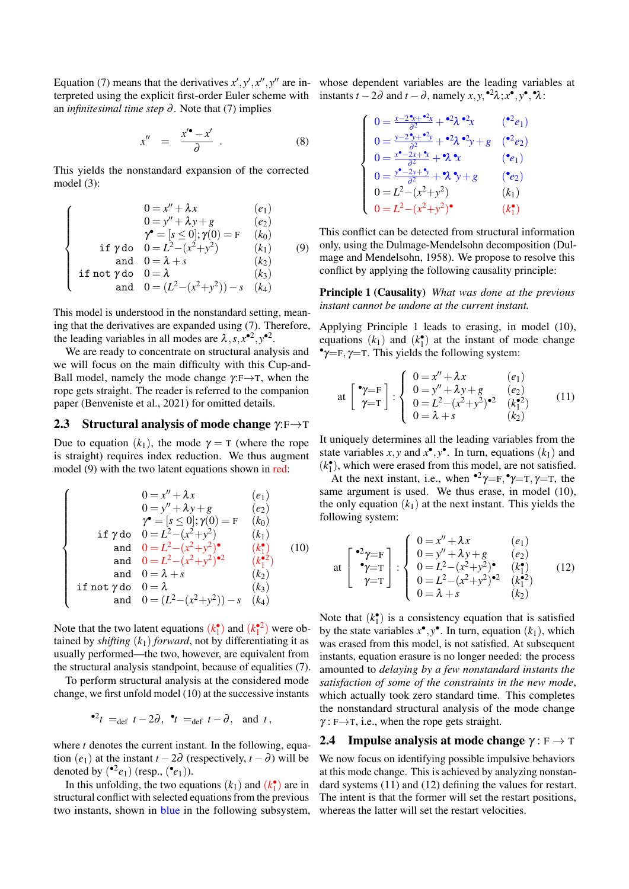Equation (7) means that the derivatives  $x', y', x'', y''$  are in- whose dependent variables are the leading variables at terpreted using the explicit first-order Euler scheme with instants  $t - 2\partial$  and  $t - \partial$ , namely  $x, y, ^{2}\lambda; x^{\bullet}, y^{\bullet}, \mathcal{A}$ : an *infinitesimal time step* ∂ . Note that (7) implies

$$
x'' = \frac{x'^{\bullet} - x'}{\partial} \tag{8}
$$

This yields the nonstandard expansion of the corrected model (3):

$$
\begin{cases}\n0 = x'' + \lambda x & (e_1) \\
0 = y'' + \lambda y + g & (e_2) \\
\gamma^{\bullet} = [s \le 0]; \gamma(0) = F & (k_0) \\
\text{if } \gamma \text{ do } 0 = L^2 - (x^2 + y^2) & (k_1) \\
\text{and } 0 = \lambda + s & (k_2) \\
\text{if not } \gamma \text{ do } 0 = \lambda & (k_3) \\
\text{and } 0 = (L^2 - (x^2 + y^2)) - s & (k_4)\n\end{cases}
$$

This model is understood in the nonstandard setting, meaning that the derivatives are expanded using (7). Therefore, the leading variables in all modes are  $\lambda$ ,  $s$ ,  $x^{\bullet 2}$ ,  $y^{\bullet 2}$ .

We are ready to concentrate on structural analysis and we will focus on the main difficulty with this Cup-and-Ball model, namely the mode change  $\gamma : F \rightarrow T$ , when the rope gets straight. The reader is referred to the companion paper (Benveniste et al., 2021) for omitted details.

#### 2.3 Structural analysis of mode change  $\gamma : F \rightarrow T$

Due to equation  $(k_1)$ , the mode  $\gamma = \tau$  (where the rope is straight) requires index reduction. We thus augment model (9) with the two latent equations shown in red:

$$
\begin{cases}\n0 = x'' + \lambda x & (e_1) \\
0 = y'' + \lambda y + g & (e_2) \\
\gamma^{\bullet} = [s \le 0]; \gamma(0) = F & (k_0) \\
\text{if } \gamma \text{ do } 0 = L^2 - (x^2 + y^2) & (k_1) \\
\text{and } 0 = L^2 - (x^2 + y^2)^{\bullet} & (k_1^{\bullet}) \\
\text{and } 0 = L^2 - (x^2 + y^2)^{\bullet 2} & (k_1^{\bullet 2}) \\
\text{and } 0 = \lambda + s & (k_2) \\
\text{if not } \gamma \text{ do } 0 = \lambda \\
\text{and } 0 = (L^2 - (x^2 + y^2)) - s & (k_4)\n\end{cases}
$$

Note that the two latent equations  $(k_1^{\bullet})$  and  $(k_1^{\bullet 2})$  were obtained by *shifting*  $(k_1)$  *forward*, not by differentiating it as usually performed—the two, however, are equivalent from the structural analysis standpoint, because of equalities (7).

To perform structural analysis at the considered mode change, we first unfold model (10) at the successive instants

$$
•^2t =_{def} t - 2\partial, \quad t =_{def} t - \partial, \quad \text{and} \quad t,
$$

where *t* denotes the current instant. In the following, equation  $(e_1)$  at the instant  $t - 2\partial$  (respectively,  $t - \partial$ ) will be denoted by  $({}^{\bullet 2}e_1)$  (resp.,  $({}^{\bullet}e_1)$ ).

In this unfolding, the two equations  $(k_1)$  and  $(k_1)$  are in structural conflict with selected equations from the previous two instants, shown in blue in the following subsystem,

$$
\begin{cases}\n0 = \frac{x - 2^* + 2^* + 2}{\partial^2} + 2\lambda^* + 2\lambda^* + 2\lambda^* + 2\lambda^* + 2\lambda^* + 2\lambda^* + 2\lambda^* + 2\lambda^* + 2\lambda^* + 2\lambda^* + 2\lambda^* + 2\lambda^* + 2\lambda^* + 2\lambda^* + 2\lambda^* + 2\lambda^* + 2\lambda^* + 2\lambda^* + 2\lambda^* + 2\lambda^* + 2\lambda^* + 2\lambda^* + 2\lambda^* + 2\lambda^* + 2\lambda^* + 2\lambda^* + 2\lambda^* + 2\lambda^* + 2\lambda^* + 2\lambda^* + 2\lambda^* + 2\lambda^* + 2\lambda^* + 2\lambda^* + 2\lambda^* + 2\lambda^* + 2\lambda^* + 2\lambda^* + 2\lambda^* + 2\lambda^* + 2\lambda^* + 2\lambda^* + 2\lambda^* + 2\lambda^* + 2\lambda^* + 2\lambda^* + 2\lambda^* + 2\lambda^* + 2\lambda^* + 2\lambda^* + 2\lambda^* + 2\lambda^* + 2\lambda^* + 2\lambda^* + 2\lambda^* + 2\lambda^* + 2\lambda^* + 2\lambda^* + 2\lambda^* + 2\lambda^* + 2\lambda^* + 2\lambda^* + 2\lambda^* + 2\lambda^* + 2\lambda^* + 2\lambda^* + 2\lambda^* + 2\lambda^* + 2\lambda^* + 2\lambda^* + 2\lambda^* + 2\lambda^* + 2\lambda^* + 2\lambda^* + 2\lambda^* + 2\lambda^* + 2\lambda^* + 2\lambda^* + 2\lambda^* + 2\lambda^* + 2\lambda^* + 2\lambda^* + 2\lambda^* + 2\lambda^* + 2\lambda^* + 2\lambda^* + 2\lambda^* + 2\lambda^* + 2\lambda^* + 2\lambda^* + 2\lambda^* + 2\lambda^* + 2\lambda^* + 2\lambda^* + 2\lambda^* + 2\lambda^* + 2\lambda^* + 2\lambda^* + 2\lambda^* + 2\lambda^* + 2\lambda^* + 2\lambda^* + 2\lambda^* + 2\lambda^* +
$$

This conflict can be detected from structural information only, using the Dulmage-Mendelsohn decomposition (Dulmage and Mendelsohn, 1958). We propose to resolve this conflict by applying the following causality principle:

Principle 1 (Causality) *What was done at the previous instant cannot be undone at the current instant.*

Applying Principle 1 leads to erasing, in model (10), equations  $(k_1)$  and  $(k_1^{\bullet})$  at the instant of mode change  $\gamma = F, \gamma = T$ . This yields the following system:

at 
$$
\begin{bmatrix} \mathbf{\hat{y}} = F \\ \mathbf{\hat{y}} = T \end{bmatrix}
$$
 :  $\begin{cases} 0 = x'' + \lambda x & (e_1) \\ 0 = y'' + \lambda y + g & (e_2) \\ 0 = L^2 - (x^2 + y^2) \mathbf{e}^2 & (k_1^2) \\ 0 = \lambda + s & (k_2) \end{cases}$  (11)

It uniquely determines all the leading variables from the state variables *x*, *y* and  $x^{\bullet}$ ,  $y^{\bullet}$ . In turn, equations  $(k_1)$  and  $(k_1^{\bullet})$ , which were erased from this model, are not satisfied.

At the next instant, i.e., when  $\mathbf{P}^2 \gamma = \mathbf{F}, \mathbf{P} \gamma = \mathbf{T}, \gamma = \mathbf{T}$ , the same argument is used. We thus erase, in model (10), the only equation  $(k_1)$  at the next instant. This yields the following system:

at 
$$
\begin{bmatrix} \bullet 2\gamma = \mathbf{F} \\ \bullet \gamma = \mathbf{T} \\ \gamma = \mathbf{T} \end{bmatrix} : \begin{cases} 0 = x'' + \lambda x & (e_1) \\ 0 = y'' + \lambda y + g & (e_2) \\ 0 = L^2 - (x^2 + y^2) & (k_1^{\bullet}) \\ 0 = L^2 - (x^2 + y^2)^{\bullet 2} & (k_1^{\bullet 2}) \\ 0 = \lambda + s & (k_2) \end{cases}
$$
 (12)

Note that  $(k_1^{\bullet})$  is a consistency equation that is satisfied by the state variables  $x^{\bullet}, y^{\bullet}$ . In turn, equation  $(k_1)$ , which was erased from this model, is not satisfied. At subsequent instants, equation erasure is no longer needed: the process amounted to *delaying by a few nonstandard instants the satisfaction of some of the constraints in the new mode*, which actually took zero standard time. This completes the nonstandard structural analysis of the mode change  $\gamma$ : F $\rightarrow$ T, i.e., when the rope gets straight.

#### 2.4 Impulse analysis at mode change  $\gamma : F \to T$

We now focus on identifying possible impulsive behaviors at this mode change. This is achieved by analyzing nonstandard systems (11) and (12) defining the values for restart. The intent is that the former will set the restart positions, whereas the latter will set the restart velocities.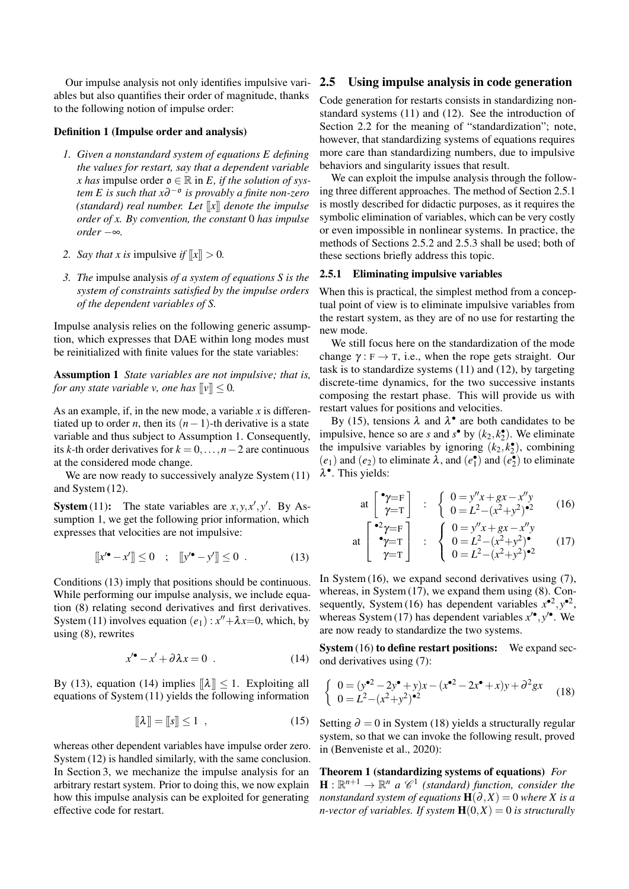Our impulse analysis not only identifies impulsive variables but also quantifies their order of magnitude, thanks to the following notion of impulse order:

#### Definition 1 (Impulse order and analysis)

- *1. Given a nonstandard system of equations E defining the values for restart, say that a dependent variable x* has impulse order  $\rho \in \mathbb{R}$  in *E*, *if the solution of system E is such that x*∂ −o *is provably a finite non-zero (standard) real number. Let* [[*x*]] *denote the impulse order of x. By convention, the constant* 0 *has impulse order* −∞*.*
- *2. Say that x is impulsive if*  $\llbracket x \rrbracket > 0$ *.*
- *3. The* impulse analysis *of a system of equations S is the system of constraints satisfied by the impulse orders of the dependent variables of S.*

Impulse analysis relies on the following generic assumption, which expresses that DAE within long modes must be reinitialized with finite values for the state variables:

Assumption 1 *State variables are not impulsive; that is, for any state variable v, one has*  $\llbracket v \rrbracket \leq 0$ .

As an example, if, in the new mode, a variable *x* is differentiated up to order *n*, then its  $(n-1)$ -th derivative is a state variable and thus subject to Assumption 1. Consequently, its *k*-th order derivatives for  $k = 0, \ldots, n-2$  are continuous at the considered mode change.

We are now ready to successively analyze System  $(11)$ and System (12).

**System** (11): The state variables are  $x, y, x', y'$ . By Assumption 1, we get the following prior information, which expresses that velocities are not impulsive:

$$
[[x^{\prime \bullet} - x^{\prime}]] \le 0 \quad ; \quad [[y^{\prime \bullet} - y^{\prime}]] \le 0 \quad . \tag{13}
$$

Conditions (13) imply that positions should be continuous. While performing our impulse analysis, we include equation (8) relating second derivatives and first derivatives. System (11) involves equation  $(e_1)$ :  $x'' + \lambda x = 0$ , which, by using (8), rewrites

$$
x'^{\bullet} - x' + \partial \lambda x = 0 \tag{14}
$$

By (13), equation (14) implies  $\|\lambda\| \leq 1$ . Exploiting all equations of System (11) yields the following information

$$
\llbracket \lambda \rrbracket = \llbracket s \rrbracket \le 1 \quad , \tag{15}
$$

whereas other dependent variables have impulse order zero. System (12) is handled similarly, with the same conclusion. In Section 3, we mechanize the impulse analysis for an arbitrary restart system. Prior to doing this, we now explain how this impulse analysis can be exploited for generating effective code for restart.

#### 2.5 Using impulse analysis in code generation

Code generation for restarts consists in standardizing nonstandard systems (11) and (12). See the introduction of Section 2.2 for the meaning of "standardization"; note, however, that standardizing systems of equations requires more care than standardizing numbers, due to impulsive behaviors and singularity issues that result.

We can exploit the impulse analysis through the following three different approaches. The method of Section 2.5.1 is mostly described for didactic purposes, as it requires the symbolic elimination of variables, which can be very costly or even impossible in nonlinear systems. In practice, the methods of Sections 2.5.2 and 2.5.3 shall be used; both of these sections briefly address this topic.

### 2.5.1 Eliminating impulsive variables

When this is practical, the simplest method from a conceptual point of view is to eliminate impulsive variables from the restart system, as they are of no use for restarting the new mode.

We still focus here on the standardization of the mode change  $\gamma : F \to T$ , i.e., when the rope gets straight. Our task is to standardize systems (11) and (12), by targeting discrete-time dynamics, for the two successive instants composing the restart phase. This will provide us with restart values for positions and velocities.

By (15), tensions  $\lambda$  and  $\lambda^{\bullet}$  are both candidates to be impulsive, hence so are *s* and  $s^{\bullet}$  by  $(k_2, k_2^{\bullet})$ . We eliminate the impulsive variables by ignoring  $(k_2, k_2)$ , combining  $(e_1)$  and  $(e_2)$  to eliminate  $\lambda$ , and  $(e_1^{\bullet})$  and  $(e_2^{\bullet})$  to eliminate λ • . This yields:

at 
$$
\begin{bmatrix} \mathbf{P} = F \\ \gamma = T \end{bmatrix}
$$
 :  $\begin{cases} 0 = y''x + gx - x''y \\ 0 = L^2 - (x^2 + y^2) \mathbf{P}^2 \end{cases}$  (16)  
 $\begin{bmatrix} \mathbf{P}^2 \gamma = F \\ 0 = y''x + gx - x''y \end{bmatrix}$ 

at 
$$
\begin{bmatrix} 7^{-1} \\ 2^{-1} \\ 2^{-1} \end{bmatrix}
$$
 :  $\begin{cases} 0 = L^2 - (x^2 + y^2) \\ 0 = L^2 - (x^2 + y^2)^{-2} \end{cases}$  (17)

In System (16), we expand second derivatives using (7), whereas, in System (17), we expand them using (8). Consequently, System (16) has dependent variables  $x^{\bullet 2}$ ,  $y^{\bullet 2}$ , whereas System (17) has dependent variables  $x^{\prime\bullet}$ ,  $y^{\prime\bullet}$ . We are now ready to standardize the two systems.

System (16) to define restart positions: We expand second derivatives using (7):

$$
\begin{cases}\n0 = (y^{\bullet 2} - 2y^{\bullet} + y)x - (x^{\bullet 2} - 2x^{\bullet} + x)y + \partial^2 gx \\
0 = L^2 - (x^2 + y^2)^{\bullet 2}\n\end{cases}
$$
\n(18)

Setting  $\partial = 0$  in System (18) yields a structurally regular system, so that we can invoke the following result, proved in (Benveniste et al., 2020):

Theorem 1 (standardizing systems of equations) *For*  $\mathbf{H}: \mathbb{R}^{n+1} \to \mathbb{R}^n$  *a*  $\mathscr{C}^1$  (standard) function, consider the *nonstandard system of equations*  $H(\partial, X) = 0$  *where X is a n-vector of variables. If system*  $\mathbf{H}(0,X) = 0$  *is structurally*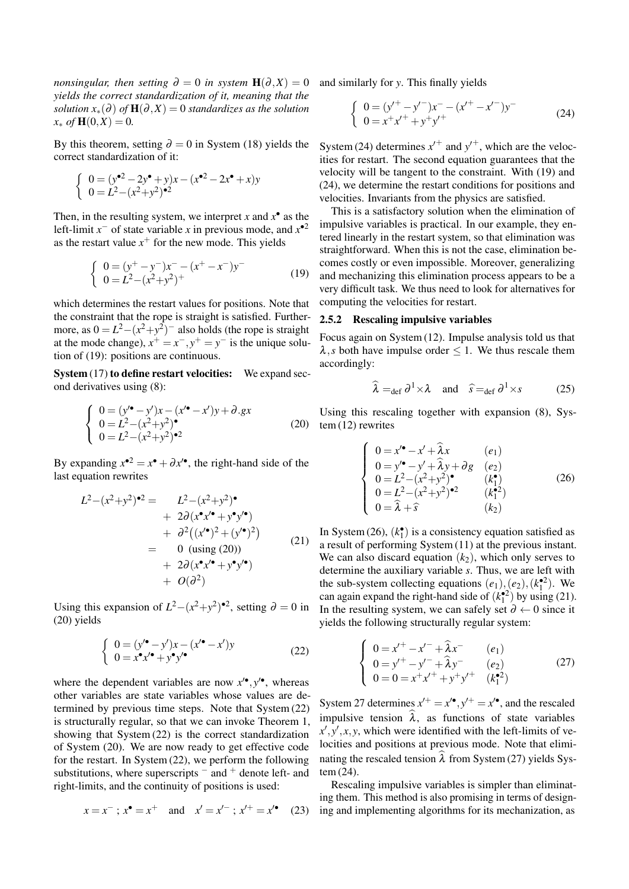*nonsingular, then setting*  $\partial = 0$  *in system*  $H(\partial, X) = 0$ *yields the correct standardization of it, meaning that the solution*  $x_*(\partial)$  *of*  $H(\partial, X) = 0$  *standardizes as the solution*  $x_* \text{ of } H(0,X) = 0.$ 

By this theorem, setting  $\partial = 0$  in System (18) yields the correct standardization of it:

$$
\begin{cases} 0 = (y^{\bullet 2} - 2y^{\bullet} + y)x - (x^{\bullet 2} - 2x^{\bullet} + x)y \\ 0 = L^2 - (x^2 + y^2)^{\bullet 2} \end{cases}
$$

Then, in the resulting system, we interpret *x* and  $x^{\bullet}$  as the left-limit  $x^-$  of state variable *x* in previous mode, and  $x^{\bullet 2}$ as the restart value  $x^+$  for the new mode. This yields

$$
\begin{cases}\n0 = (y^+ - y^-)x^- - (x^+ - x^-)y^- \\
0 = L^2 - (x^2 + y^2)^+\n\end{cases}
$$
\n(19)

which determines the restart values for positions. Note that the constraint that the rope is straight is satisfied. Furthermore, as  $0 = L^2 - (x^2 + y^2)^{-1}$  also holds (the rope is straight at the mode change),  $x^+ = x^-$ ,  $y^+ = y^-$  is the unique solution of (19): positions are continuous.

System (17) to define restart velocities: We expand second derivatives using (8):

$$
\begin{cases}\n0 = (y' \cdot - y')x - (x' \cdot - x')y + \partial.gx \\
0 = L^2 - (x^2 + y^2) \cdot \\
0 = L^2 - (x^2 + y^2)^{-2}\n\end{cases}
$$
\n(20)

By expanding  $x^{\bullet 2} = x^{\bullet} + \partial x'^{\bullet}$ , the right-hand side of the last equation rewrites

$$
L^{2}-(x^{2}+y^{2})^{\bullet 2} = L^{2}-(x^{2}+y^{2})^{\bullet}
$$
  
+  $2\partial (x^{\bullet}x'^{\bullet}+y^{\bullet}y'^{\bullet})$   
+  $\partial^{2} ((x'^{\bullet})^{2}+(y'^{\bullet})^{2})$   
= 0 (using (20))  
+  $2\partial (x^{\bullet}x'^{\bullet}+y^{\bullet}y'^{\bullet})$   
+  $O(\partial^{2})$  (21)

Using this expansion of  $L^2 - (x^2 + y^2)$ <sup>•2</sup>, setting  $\partial = 0$  in (20) yields

$$
\begin{cases}\n0 = (y'^{\bullet} - y')x - (x'^{\bullet} - x')y \\
0 = x^{\bullet}x'^{\bullet} + y^{\bullet}y'^{\bullet}\n\end{cases}
$$
\n(22)

where the dependent variables are now  $x^{\prime\bullet}$ ,  $y^{\prime\bullet}$ , whereas other variables are state variables whose values are determined by previous time steps. Note that System (22) is structurally regular, so that we can invoke Theorem 1, showing that System (22) is the correct standardization of System (20). We are now ready to get effective code for the restart. In System (22), we perform the following substitutions, where superscripts  $-$  and  $+$  denote left- and right-limits, and the continuity of positions is used:

$$
x = x^-
$$
;  $x^{\bullet} = x^+$  and  $x' = x'^{-}$ ;  $x'^{+} = x'^{\bullet}$  (23)

and similarly for *y*. This finally yields

$$
\begin{cases}\n0 = (y'^+ - y'^-)x^- - (x'^+ - x'^-)y^- \\
0 = x^+x'^+ + y^+y'^+\n\end{cases}
$$
\n(24)

System (24) determines  $x'^{+}$  and  $y'^{+}$ , which are the velocities for restart. The second equation guarantees that the velocity will be tangent to the constraint. With (19) and (24), we determine the restart conditions for positions and velocities. Invariants from the physics are satisfied.

This is a satisfactory solution when the elimination of impulsive variables is practical. In our example, they entered linearly in the restart system, so that elimination was straightforward. When this is not the case, elimination becomes costly or even impossible. Moreover, generalizing and mechanizing this elimination process appears to be a very difficult task. We thus need to look for alternatives for computing the velocities for restart.

#### 2.5.2 Rescaling impulsive variables

Focus again on System (12). Impulse analysis told us that  $\lambda$ ,*s* both have impulse order  $\leq 1$ . We thus rescale them accordingly:

$$
\widehat{\lambda} =_{\text{def}} \partial^1 \times \lambda \quad \text{and} \quad \widehat{s} =_{\text{def}} \partial^1 \times s \tag{25}
$$

Using this rescaling together with expansion (8), System (12) rewrites

$$
\begin{cases}\n0 = x'^{\bullet} - x' + \hat{\lambda}x & (e_1) \\
0 = y'^{\bullet} - y' + \hat{\lambda}y + \partial g & (e_2) \\
0 = L^2 - (x^2 + y^2)^{\bullet} & (k_1^{\bullet}) \\
0 = L^2 - (x^2 + y^2)^{\bullet 2} & (k_1^{\bullet 2}) \\
0 = \hat{\lambda} + \hat{s} & (k_2)\n\end{cases}
$$
\n(26)

In System (26),  $(k_1^{\bullet})$  is a consistency equation satisfied as a result of performing System (11) at the previous instant. We can also discard equation  $(k_2)$ , which only serves to determine the auxiliary variable *s*. Thus, we are left with the sub-system collecting equations  $(e_1)$ ,  $(e_2)$ ,  $(k_1^{2})$ . We can again expand the right-hand side of  $(k_1^2)$  by using (21). In the resulting system, we can safely set  $\partial \leftarrow 0$  since it yields the following structurally regular system:

$$
\begin{cases}\n0 = x'^{+} - x'^{-} + \hat{\lambda}x^{-} & (e_1) \\
0 = y'^{+} - y'^{-} + \hat{\lambda}y^{-} & (e_2) \\
0 = 0 = x^{+}x'^{+} + y^{+}y'^{+} & (k_1^{*2})\n\end{cases}
$$
\n(27)

System 27 determines  $x'^{+} = x'^{\bullet}, y'^{+} = x'^{\bullet}$ , and the rescaled impulsive tension  $\lambda$ , as functions of state variables  $x$ <sup>'</sup>,  $y$ <sup>'</sup>,  $x$ ,  $y$ , which were identified with the left-limits of velocities and positions at previous mode. Note that eliminating the rescaled tension  $\hat{\lambda}$  from System (27) yields System (24).

Rescaling impulsive variables is simpler than eliminating them. This method is also promising in terms of designing and implementing algorithms for its mechanization, as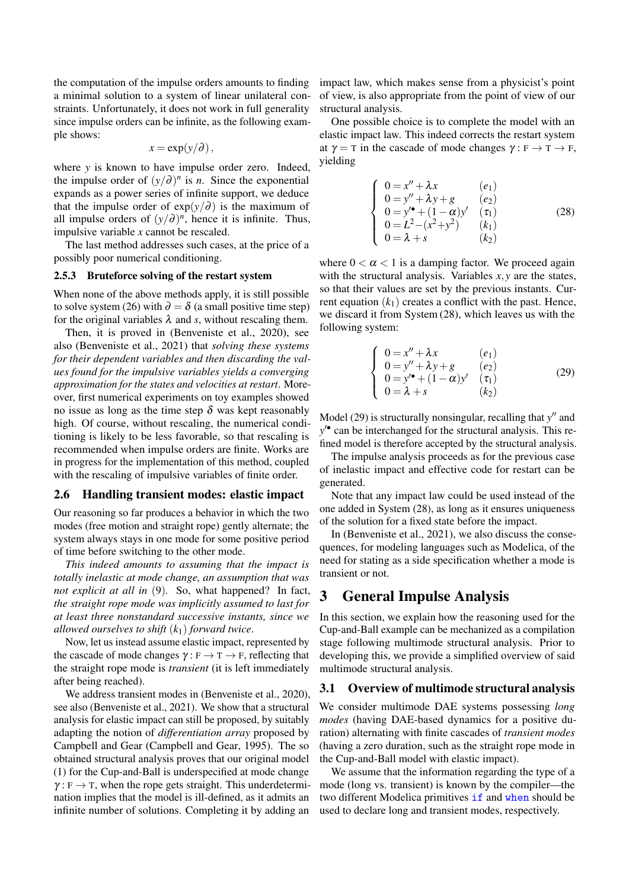the computation of the impulse orders amounts to finding a minimal solution to a system of linear unilateral constraints. Unfortunately, it does not work in full generality since impulse orders can be infinite, as the following example shows:

$$
x = \exp(y/\partial),
$$

where *y* is known to have impulse order zero. Indeed, the impulse order of  $(y/d)^n$  is *n*. Since the exponential expands as a power series of infinite support, we deduce that the impulse order of  $exp(y/\partial)$  is the maximum of all impulse orders of  $(y/\partial)^n$ , hence it is infinite. Thus, impulsive variable *x* cannot be rescaled.

The last method addresses such cases, at the price of a possibly poor numerical conditioning.

#### 2.5.3 Bruteforce solving of the restart system

When none of the above methods apply, it is still possible to solve system (26) with  $\partial = \delta$  (a small positive time step) for the original variables  $\lambda$  and *s*, without rescaling them.

Then, it is proved in (Benveniste et al., 2020), see also (Benveniste et al., 2021) that *solving these systems for their dependent variables and then discarding the values found for the impulsive variables yields a converging approximation for the states and velocities at restart*. Moreover, first numerical experiments on toy examples showed no issue as long as the time step  $\delta$  was kept reasonably high. Of course, without rescaling, the numerical conditioning is likely to be less favorable, so that rescaling is recommended when impulse orders are finite. Works are in progress for the implementation of this method, coupled with the rescaling of impulsive variables of finite order.

#### 2.6 Handling transient modes: elastic impact

Our reasoning so far produces a behavior in which the two modes (free motion and straight rope) gently alternate; the system always stays in one mode for some positive period of time before switching to the other mode.

*This indeed amounts to assuming that the impact is totally inelastic at mode change, an assumption that was not explicit at all in* (9)*.* So, what happened? In fact, *the straight rope mode was implicitly assumed to last for at least three nonstandard successive instants, since we allowed ourselves to shift* (*k*1) *forward twice*.

Now, let us instead assume elastic impact, represented by the cascade of mode changes  $\gamma : F \to T \to F$ , reflecting that the straight rope mode is *transient* (it is left immediately after being reached).

We address transient modes in (Benveniste et al., 2020). see also (Benveniste et al., 2021). We show that a structural analysis for elastic impact can still be proposed, by suitably adapting the notion of *differentiation array* proposed by Campbell and Gear (Campbell and Gear, 1995). The so obtained structural analysis proves that our original model (1) for the Cup-and-Ball is underspecified at mode change  $\gamma : F \to T$ , when the rope gets straight. This underdetermination implies that the model is ill-defined, as it admits an infinite number of solutions. Completing it by adding an

impact law, which makes sense from a physicist's point of view, is also appropriate from the point of view of our structural analysis.

One possible choice is to complete the model with an elastic impact law. This indeed corrects the restart system at  $\gamma = \tau$  in the cascade of mode changes  $\gamma : F \to T \to F$ , yielding

$$
\begin{cases}\n0 = x'' + \lambda x & (e_1) \\
0 = y'' + \lambda y + g & (e_2) \\
0 = y'^{\bullet} + (1 - \alpha)y' & (\tau_1) \\
0 = L^2 - (x^2 + y^2) & (k_1) \\
0 = \lambda + s & (k_2)\n\end{cases}
$$
\n(28)

where  $0 < \alpha < 1$  is a damping factor. We proceed again with the structural analysis. Variables *x*, *y* are the states, so that their values are set by the previous instants. Current equation  $(k_1)$  creates a conflict with the past. Hence, we discard it from System (28), which leaves us with the following system:

$$
\begin{cases}\n0 = x'' + \lambda x & (e_1) \\
0 = y'' + \lambda y + g & (e_2) \\
0 = y'^* + (1 - \alpha)y' & (\tau_1) \\
0 = \lambda + s & (k_2)\n\end{cases}
$$
\n(29)

Model (29) is structurally nonsingular, recalling that y'' and *y* 0• can be interchanged for the structural analysis. This refined model is therefore accepted by the structural analysis.

The impulse analysis proceeds as for the previous case of inelastic impact and effective code for restart can be generated.

Note that any impact law could be used instead of the one added in System (28), as long as it ensures uniqueness of the solution for a fixed state before the impact.

In (Benveniste et al., 2021), we also discuss the consequences, for modeling languages such as Modelica, of the need for stating as a side specification whether a mode is transient or not.

### 3 General Impulse Analysis

In this section, we explain how the reasoning used for the Cup-and-Ball example can be mechanized as a compilation stage following multimode structural analysis. Prior to developing this, we provide a simplified overview of said multimode structural analysis.

#### 3.1 Overview of multimode structural analysis

We consider multimode DAE systems possessing *long modes* (having DAE-based dynamics for a positive duration) alternating with finite cascades of *transient modes* (having a zero duration, such as the straight rope mode in the Cup-and-Ball model with elastic impact).

We assume that the information regarding the type of a mode (long vs. transient) is known by the compiler—the two different Modelica primitives if and when should be used to declare long and transient modes, respectively.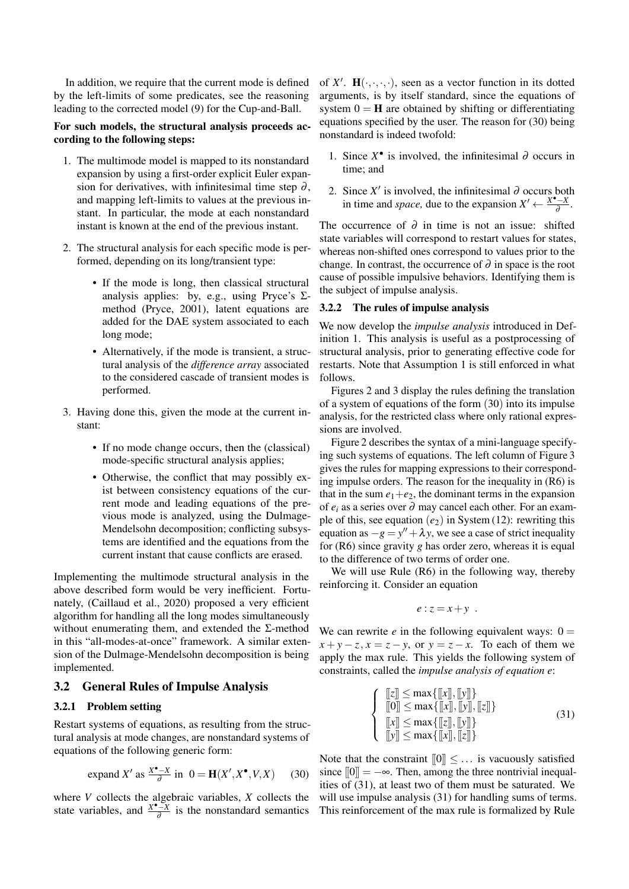In addition, we require that the current mode is defined by the left-limits of some predicates, see the reasoning leading to the corrected model (9) for the Cup-and-Ball.

#### For such models, the structural analysis proceeds according to the following steps:

- 1. The multimode model is mapped to its nonstandard expansion by using a first-order explicit Euler expansion for derivatives, with infinitesimal time step  $\partial$ , and mapping left-limits to values at the previous instant. In particular, the mode at each nonstandard instant is known at the end of the previous instant.
- 2. The structural analysis for each specific mode is performed, depending on its long/transient type:
	- If the mode is long, then classical structural analysis applies: by, e.g., using Pryce's  $\Sigma$ method (Pryce, 2001), latent equations are added for the DAE system associated to each long mode;
	- Alternatively, if the mode is transient, a structural analysis of the *difference array* associated to the considered cascade of transient modes is performed.
- 3. Having done this, given the mode at the current instant:
	- If no mode change occurs, then the (classical) mode-specific structural analysis applies;
	- Otherwise, the conflict that may possibly exist between consistency equations of the current mode and leading equations of the previous mode is analyzed, using the Dulmage-Mendelsohn decomposition; conflicting subsystems are identified and the equations from the current instant that cause conflicts are erased.

Implementing the multimode structural analysis in the above described form would be very inefficient. Fortunately, (Caillaud et al., 2020) proposed a very efficient algorithm for handling all the long modes simultaneously without enumerating them, and extended the Σ-method in this "all-modes-at-once" framework. A similar extension of the Dulmage-Mendelsohn decomposition is being implemented.

#### 3.2 General Rules of Impulse Analysis

#### 3.2.1 Problem setting

Restart systems of equations, as resulting from the structural analysis at mode changes, are nonstandard systems of equations of the following generic form:

expand 
$$
X'
$$
 as  $\frac{X^{\bullet} - X}{\partial}$  in  $0 = \mathbf{H}(X', X^{\bullet}, V, X)$  (30)

where *V* collects the algebraic variables, *X* collects the state variables, and  $\frac{X^{\bullet}-X}{\lambda}$  $\frac{d-x}{d}$  is the nonstandard semantics

of  $X'$ .  $\mathbf{H}(\cdot,\cdot,\cdot,\cdot)$ , seen as a vector function in its dotted arguments, is by itself standard, since the equations of system  $0 = H$  are obtained by shifting or differentiating equations specified by the user. The reason for (30) being nonstandard is indeed twofold:

- 1. Since  $X^{\bullet}$  is involved, the infinitesimal ∂ occurs in time; and
- 2. Since  $X'$  is involved, the infinitesimal  $\partial$  occurs both in time and *space*, due to the expansion  $X' \leftarrow \frac{X^* - X}{\lambda}$  $\frac{X-\bar{X}}{\partial}$ .

The occurrence of  $\partial$  in time is not an issue: shifted state variables will correspond to restart values for states, whereas non-shifted ones correspond to values prior to the change. In contrast, the occurrence of  $\partial$  in space is the root cause of possible impulsive behaviors. Identifying them is the subject of impulse analysis.

#### 3.2.2 The rules of impulse analysis

We now develop the *impulse analysis* introduced in Definition 1. This analysis is useful as a postprocessing of structural analysis, prior to generating effective code for restarts. Note that Assumption 1 is still enforced in what follows.

Figures 2 and 3 display the rules defining the translation of a system of equations of the form (30) into its impulse analysis, for the restricted class where only rational expressions are involved.

Figure 2 describes the syntax of a mini-language specifying such systems of equations. The left column of Figure 3 gives the rules for mapping expressions to their corresponding impulse orders. The reason for the inequality in (R6) is that in the sum  $e_1+e_2$ , the dominant terms in the expansion of *e<sup>i</sup>* as a series over ∂ may cancel each other. For an example of this, see equation  $(e_2)$  in System (12): rewriting this equation as  $-g = y'' + \lambda y$ , we see a case of strict inequality for (R6) since gravity *g* has order zero, whereas it is equal to the difference of two terms of order one.

We will use Rule (R6) in the following way, thereby reinforcing it. Consider an equation

$$
e: z = x + y.
$$

We can rewrite  $e$  in the following equivalent ways:  $0 =$  $x + y - z$ ,  $x = z - y$ , or  $y = z - x$ . To each of them we apply the max rule. This yields the following system of constraints, called the *impulse analysis of equation e*:

$$
\begin{cases}\n[[z]] \le \max\{[[x]], [[y]]\} \\
[[0]] \le \max\{[[x]], [[y]], [[z]]\} \\
[[x]] \le \max\{[[z]], [[y]]\}\n[[y]] \le \max\{[[x], [[z]]\}\n\end{cases} \tag{31}
$$

Note that the constraint  $[0] \leq \dots$  is vacuously satisfied since  $[0] = -\infty$ . Then, among the three nontrivial inequalities of (31), at least two of them must be saturated. We will use impulse analysis  $(31)$  for handling sums of terms. This reinforcement of the max rule is formalized by Rule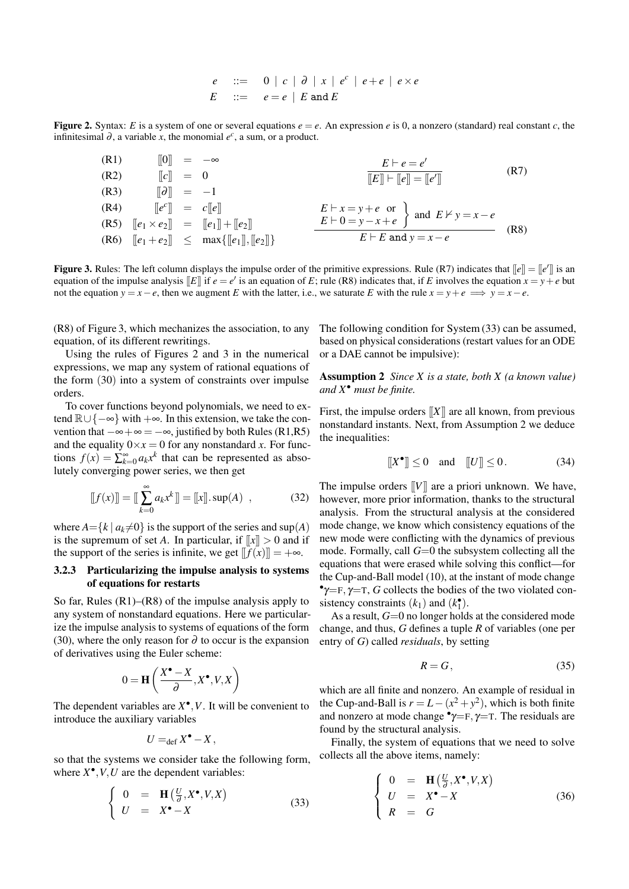$e$  ::= 0 | *c* |  $\partial$  | *x* |  $e^c$  |  $e + e$  |  $e \times e$  $E$  ::=  $e = e \mid E$  and *E* 

**Figure 2.** Syntax: *E* is a system of one or several equations  $e = e$ . An expression *e* is 0, a nonzero (standard) real constant *c*, the infinitesimal  $\partial$ , a variable *x*, the monomial  $e^c$ , a sum, or a product.

 $\llbracket 0 \rrbracket = -\infty$  $[|c|] = 0$ (R3)  $\[\vec{\theta}\] = -1$  $[$ **(R4)**  $[$  $[e^c$  $]$  =  $c$  $[$  $e$  $]$  $\left\|e^c\right\| = c\left\|e\right\|$ (R5)  $[[e_1 \times e_2]] = [[e_1]] + [[e_2]]$ (R6)  $[|e_1 + e_2|] < \max\{||e_1||, ||e_2||\}$  $E \vdash e = e'$  $\overline{[E] \vdash [e] } = [e']$  (R7)  $E \vdash x = y + e$  or  $E \vdash 0 = y - x + e$  $\begin{cases}$  and  $E \nvDash y = x - e$  $E \vdash E$  and  $y = x - e$ (R8)

**Figure 3.** Rules: The left column displays the impulse order of the primitive expressions. Rule (R7) indicates that  $\llbracket e \rrbracket = \llbracket e' \rrbracket$  is an equation of the impulse analysis [E]] if  $e = e'$  is an equation of E; rule (R8) indicates that, if E involves the equation  $x = y + e$  but not the equation  $y = x - e$ , then we augment *E* with the latter, i.e., we saturate *E* with the rule  $x = y + e \implies y = x - e$ .

(R8) of Figure 3, which mechanizes the association, to any equation, of its different rewritings.

Using the rules of Figures 2 and 3 in the numerical expressions, we map any system of rational equations of the form (30) into a system of constraints over impulse orders.

To cover functions beyond polynomials, we need to extend R∪{−∞} with +∞. In this extension, we take the convention that  $-\infty + \infty = -\infty$ , justified by both Rules (R1,R5) and the equality  $0 \times x = 0$  for any nonstandard *x*. For functions  $f(x) = \sum_{k=0}^{\infty} a_k x^k$  that can be represented as absolutely converging power series, we then get

$$
[[f(x)]] = [[\sum_{k=0}^{\infty} a_k x^k]] = [[x]].sup(A) , \qquad (32)
$$

where  $A = \{k \mid a_k \neq 0\}$  is the support of the series and sup(A) is the supremum of set *A*. In particular, if  $\llbracket x \rrbracket > 0$  and if the support of the series is infinite, we get  $[|f(x)|] = +\infty$ .

#### 3.2.3 Particularizing the impulse analysis to systems of equations for restarts

So far, Rules (R1)–(R8) of the impulse analysis apply to any system of nonstandard equations. Here we particularize the impulse analysis to systems of equations of the form (30), where the only reason for  $\partial$  to occur is the expansion of derivatives using the Euler scheme:

$$
0 = \mathbf{H}\left(\frac{X^{\bullet} - X}{\partial}, X^{\bullet}, V, X\right)
$$

The dependent variables are  $X^{\bullet}, V$ . It will be convenient to introduce the auxiliary variables

$$
U =_{\text{def}} X^{\bullet} - X,
$$

so that the systems we consider take the following form, where  $X^{\bullet}, V, U$  are the dependent variables:

$$
\begin{cases}\n0 &= \mathbf{H}(\frac{U}{\partial}, X^{\bullet}, V, X) \\
U &= X^{\bullet} - X\n\end{cases}
$$
\n(33)

The following condition for System (33) can be assumed, based on physical considerations (restart values for an ODE or a DAE cannot be impulsive):

Assumption 2 *Since X is a state, both X (a known value) and X*• *must be finite.*

First, the impulse orders  $[[X]]$  are all known, from previous nonstandard instants. Next, from Assumption 2 we deduce the inequalities:

$$
[[X^{\bullet}]] \le 0 \quad \text{and} \quad [[U]] \le 0. \tag{34}
$$

The impulse orders [[*V*]] are a priori unknown. We have, however, more prior information, thanks to the structural analysis. From the structural analysis at the considered mode change, we know which consistency equations of the new mode were conflicting with the dynamics of previous mode. Formally, call *G*=0 the subsystem collecting all the equations that were erased while solving this conflict—for the Cup-and-Ball model (10), at the instant of mode change <sup>•</sup>γ=F, γ=T, *G* collects the bodies of the two violated consistency constraints  $(k_1)$  and  $(k_1^{\bullet})$ .

As a result,  $G=0$  no longer holds at the considered mode change, and thus, *G* defines a tuple *R* of variables (one per entry of *G*) called *residuals*, by setting

$$
R = G,\t\t(35)
$$

which are all finite and nonzero. An example of residual in the Cup-and-Ball is  $r = L - (x^2 + y^2)$ , which is both finite and nonzero at mode change  $\gamma = F$ ,  $\gamma = T$ . The residuals are found by the structural analysis.

Finally, the system of equations that we need to solve collects all the above items, namely:

$$
\begin{cases}\n0 &= \mathbf{H}(\frac{U}{\partial}, X^{\bullet}, V, X) \\
U &= X^{\bullet} - X \\
R &= G\n\end{cases}
$$
\n(36)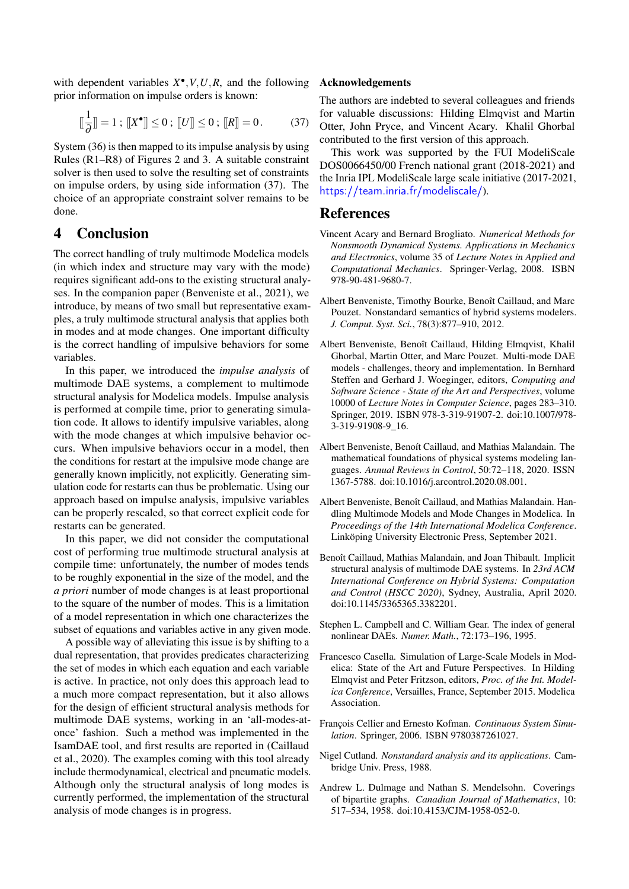with dependent variables  $X^{\bullet}, V, U, R$ , and the following prior information on impulse orders is known:

$$
\left[\frac{1}{\partial}\right] = 1; \left[\!\left[X^{\bullet}\right]\!\right] \le 0; \left[\!\left[U\right]\!\right] \le 0; \left[\!\left[R\right]\!\right] = 0. \tag{37}
$$

System (36) is then mapped to its impulse analysis by using Rules (R1–R8) of Figures 2 and 3. A suitable constraint solver is then used to solve the resulting set of constraints on impulse orders, by using side information (37). The choice of an appropriate constraint solver remains to be done.

## 4 Conclusion

The correct handling of truly multimode Modelica models (in which index and structure may vary with the mode) requires significant add-ons to the existing structural analyses. In the companion paper (Benveniste et al., 2021), we introduce, by means of two small but representative examples, a truly multimode structural analysis that applies both in modes and at mode changes. One important difficulty is the correct handling of impulsive behaviors for some variables.

In this paper, we introduced the *impulse analysis* of multimode DAE systems, a complement to multimode structural analysis for Modelica models. Impulse analysis is performed at compile time, prior to generating simulation code. It allows to identify impulsive variables, along with the mode changes at which impulsive behavior occurs. When impulsive behaviors occur in a model, then the conditions for restart at the impulsive mode change are generally known implicitly, not explicitly. Generating simulation code for restarts can thus be problematic. Using our approach based on impulse analysis, impulsive variables can be properly rescaled, so that correct explicit code for restarts can be generated.

In this paper, we did not consider the computational cost of performing true multimode structural analysis at compile time: unfortunately, the number of modes tends to be roughly exponential in the size of the model, and the *a priori* number of mode changes is at least proportional to the square of the number of modes. This is a limitation of a model representation in which one characterizes the subset of equations and variables active in any given mode.

A possible way of alleviating this issue is by shifting to a dual representation, that provides predicates characterizing the set of modes in which each equation and each variable is active. In practice, not only does this approach lead to a much more compact representation, but it also allows for the design of efficient structural analysis methods for multimode DAE systems, working in an 'all-modes-atonce' fashion. Such a method was implemented in the IsamDAE tool, and first results are reported in (Caillaud et al., 2020). The examples coming with this tool already include thermodynamical, electrical and pneumatic models. Although only the structural analysis of long modes is currently performed, the implementation of the structural analysis of mode changes is in progress.

#### Acknowledgements

The authors are indebted to several colleagues and friends for valuable discussions: Hilding Elmqvist and Martin Otter, John Pryce, and Vincent Acary. Khalil Ghorbal contributed to the first version of this approach.

This work was supported by the FUI ModeliScale DOS0066450/00 French national grant (2018-2021) and the Inria IPL ModeliScale large scale initiative (2017-2021, <https://team.inria.fr/modeliscale/>).

### References

- Vincent Acary and Bernard Brogliato. *Numerical Methods for Nonsmooth Dynamical Systems. Applications in Mechanics and Electronics*, volume 35 of *Lecture Notes in Applied and Computational Mechanics*. Springer-Verlag, 2008. ISBN 978-90-481-9680-7.
- Albert Benveniste, Timothy Bourke, Benoît Caillaud, and Marc Pouzet. Nonstandard semantics of hybrid systems modelers. *J. Comput. Syst. Sci.*, 78(3):877–910, 2012.
- Albert Benveniste, Benoît Caillaud, Hilding Elmqvist, Khalil Ghorbal, Martin Otter, and Marc Pouzet. Multi-mode DAE models - challenges, theory and implementation. In Bernhard Steffen and Gerhard J. Woeginger, editors, *Computing and Software Science - State of the Art and Perspectives*, volume 10000 of *Lecture Notes in Computer Science*, pages 283–310. Springer, 2019. ISBN 978-3-319-91907-2. doi[:10.1007/978-](https://doi.org/10.1007/978-3-319-91908-9_16) [3-319-91908-9\\_16.](https://doi.org/10.1007/978-3-319-91908-9_16)
- Albert Benveniste, Benoít Caillaud, and Mathias Malandain. The mathematical foundations of physical systems modeling languages. *Annual Reviews in Control*, 50:72–118, 2020. ISSN 1367-5788. doi[:10.1016/j.arcontrol.2020.08.001.](https://doi.org/10.1016/j.arcontrol.2020.08.001)
- Albert Benveniste, Benoît Caillaud, and Mathias Malandain. Handling Multimode Models and Mode Changes in Modelica. In *Proceedings of the 14th International Modelica Conference*. Linköping University Electronic Press, September 2021.
- Benoît Caillaud, Mathias Malandain, and Joan Thibault. Implicit structural analysis of multimode DAE systems. In *23rd ACM International Conference on Hybrid Systems: Computation and Control (HSCC 2020)*, Sydney, Australia, April 2020. doi[:10.1145/3365365.3382201.](https://doi.org/10.1145/3365365.3382201)
- Stephen L. Campbell and C. William Gear. The index of general nonlinear DAEs. *Numer. Math.*, 72:173–196, 1995.
- Francesco Casella. Simulation of Large-Scale Models in Modelica: State of the Art and Future Perspectives. In Hilding Elmqvist and Peter Fritzson, editors, *Proc. of the Int. Modelica Conference*, Versailles, France, September 2015. Modelica Association.
- François Cellier and Ernesto Kofman. *Continuous System Simulation*. Springer, 2006. ISBN 9780387261027.
- Nigel Cutland. *Nonstandard analysis and its applications*. Cambridge Univ. Press, 1988.
- Andrew L. Dulmage and Nathan S. Mendelsohn. Coverings of bipartite graphs. *Canadian Journal of Mathematics*, 10: 517–534, 1958. doi[:10.4153/CJM-1958-052-0.](https://doi.org/10.4153/CJM-1958-052-0)